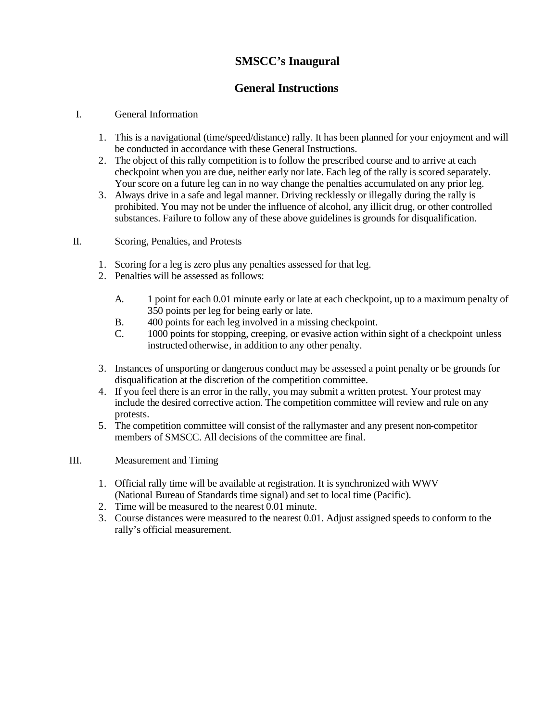# **SMSCC's Inaugural**

# **General Instructions**

## I. General Information

- 1. This is a navigational (time/speed/distance) rally. It has been planned for your enjoyment and will be conducted in accordance with these General Instructions.
- 2. The object of this rally competition is to follow the prescribed course and to arrive at each checkpoint when you are due, neither early nor late. Each leg of the rally is scored separately. Your score on a future leg can in no way change the penalties accumulated on any prior leg.
- 3. Always drive in a safe and legal manner. Driving recklessly or illegally during the rally is prohibited. You may not be under the influence of alcohol, any illicit drug, or other controlled substances. Failure to follow any of these above guidelines is grounds for disqualification.

## II. Scoring, Penalties, and Protests

- 1. Scoring for a leg is zero plus any penalties assessed for that leg.
- 2. Penalties will be assessed as follows:
	- A. 1 point for each 0.01 minute early or late at each checkpoint, up to a maximum penalty of 350 points per leg for being early or late.
	- B. 400 points for each leg involved in a missing checkpoint.
	- C. 1000 points for stopping, creeping, or evasive action within sight of a checkpoint unless instructed otherwise, in addition to any other penalty.
- 3. Instances of unsporting or dangerous conduct may be assessed a point penalty or be grounds for disqualification at the discretion of the competition committee.
- 4. If you feel there is an error in the rally, you may submit a written protest. Your protest may include the desired corrective action. The competition committee will review and rule on any protests.
- 5. The competition committee will consist of the rallymaster and any present non-competitor members of SMSCC. All decisions of the committee are final.

#### III. Measurement and Timing

- 1. Official rally time will be available at registration. It is synchronized with WWV (National Bureau of Standards time signal) and set to local time (Pacific).
- 2. Time will be measured to the nearest 0.01 minute.
- 3. Course distances were measured to the nearest 0.01. Adjust assigned speeds to conform to the rally's official measurement.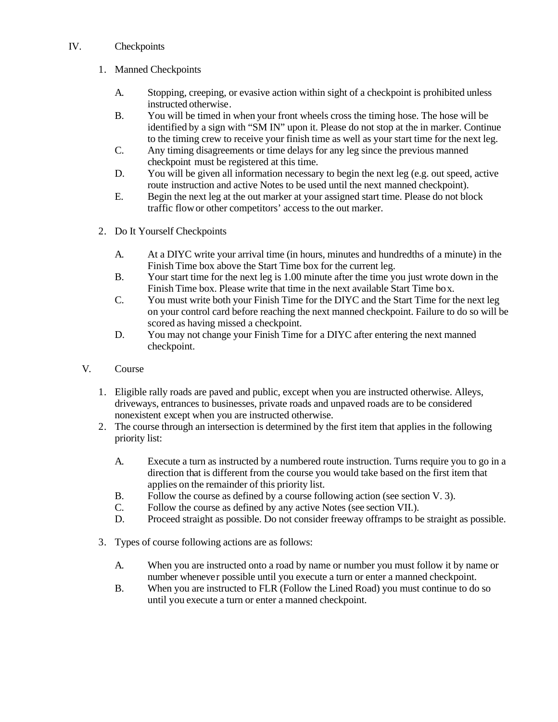### IV. Checkpoints

## 1. Manned Checkpoints

- A. Stopping, creeping, or evasive action within sight of a checkpoint is prohibited unless instructed otherwise.
- B. You will be timed in when your front wheels cross the timing hose. The hose will be identified by a sign with "SM IN" upon it. Please do not stop at the in marker. Continue to the timing crew to receive your finish time as well as your start time for the next leg.
- C. Any timing disagreements or time delays for any leg since the previous manned checkpoint must be registered at this time.
- D. You will be given all information necessary to begin the next leg (e.g. out speed, active route instruction and active Notes to be used until the next manned checkpoint).
- E. Begin the next leg at the out marker at your assigned start time. Please do not block traffic flowor other competitors' access to the out marker.
- 2. Do It Yourself Checkpoints
	- A. At a DIYC write your arrival time (in hours, minutes and hundredths of a minute) in the Finish Time box above the Start Time box for the current leg.
	- B. Your start time for the next leg is 1.00 minute after the time you just wrote down in the Finish Time box. Please write that time in the next available Start Time box.
	- C. You must write both your Finish Time for the DIYC and the Start Time for the next leg on your control card before reaching the next manned checkpoint. Failure to do so will be scored as having missed a checkpoint.
	- D. You may not change your Finish Time for a DIYC after entering the next manned checkpoint.
- V. Course
	- 1. Eligible rally roads are paved and public, except when you are instructed otherwise. Alleys, driveways, entrances to businesses, private roads and unpaved roads are to be considered nonexistent except when you are instructed otherwise.
	- 2. The course through an intersection is determined by the first item that applies in the following priority list:
		- A. Execute a turn as instructed by a numbered route instruction. Turns require you to go in a direction that is different from the course you would take based on the first item that applies on the remainder of this priority list.
		- B. Follow the course as defined by a course following action (see section V. 3).
		- C. Follow the course as defined by any active Notes (see section VII.).
		- D. Proceed straight as possible. Do not consider freeway of framps to be straight as possible.
	- 3. Types of course following actions are as follows:
		- A. When you are instructed onto a road by name or number you must follow it by name or number whenever possible until you execute a turn or enter a manned checkpoint.
		- B. When you are instructed to FLR (Follow the Lined Road) you must continue to do so until you execute a turn or enter a manned checkpoint.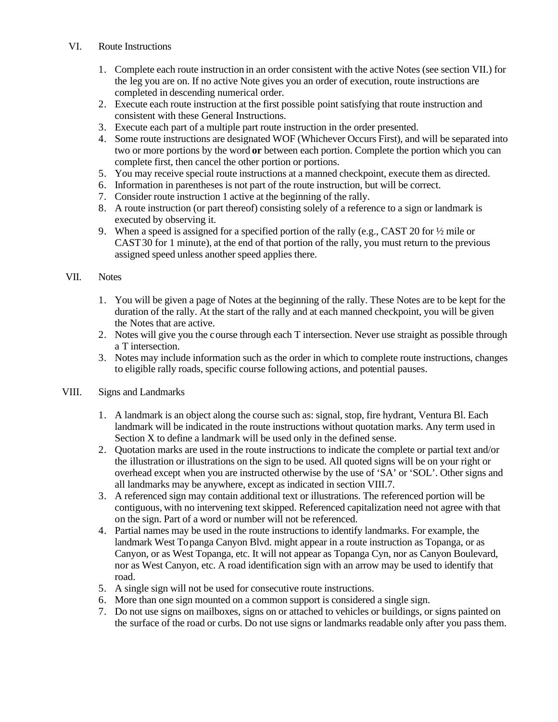- VI. Route Instructions
	- 1. Complete each route instruction in an order consistent with the active Notes (see section VII.) for the leg you are on. If no active Note gives you an order of execution, route instructions are completed in descending numerical order.
	- 2. Execute each route instruction at the first possible point satisfying that route instruction and consistent with these General Instructions.
	- 3. Execute each part of a multiple part route instruction in the order presented.
	- 4. Some route instructions are designated WOF (Whichever Occurs First), and will be separated into two or more portions by the word **or** between each portion. Complete the portion which you can complete first, then cancel the other portion or portions.
	- 5. You may receive special route instructions at a manned checkpoint, execute them as directed.
	- 6. Information in parentheses is not part of the route instruction, but will be correct.
	- 7. Consider route instruction 1 active at the beginning of the rally.
	- 8. A route instruction (or part thereof) consisting solely of a reference to a sign or landmark is executed by observing it.
	- 9. When a speed is assigned for a specified portion of the rally (e.g., CAST 20 for ½ mile or CAST30 for 1 minute), at the end of that portion of the rally, you must return to the previous assigned speed unless another speed applies there.

#### VII. Notes

- 1. You will be given a page of Notes at the beginning of the rally. These Notes are to be kept for the duration of the rally. At the start of the rally and at each manned checkpoint, you will be given the Notes that are active.
- 2. Notes will give you the course through each T intersection. Never use straight as possible through a T intersection.
- 3. Notes may include information such as the order in which to complete route instructions, changes to eligible rally roads, specific course following actions, and potential pauses.

#### VIII. Signs and Landmarks

- 1. A landmark is an object along the course such as: signal, stop, fire hydrant, Ventura Bl. Each landmark will be indicated in the route instructions without quotation marks. Any term used in Section X to define a landmark will be used only in the defined sense.
- 2. Quotation marks are used in the route instructions to indicate the complete or partial text and/or the illustration or illustrations on the sign to be used. All quoted signs will be on your right or overhead except when you are instructed otherwise by the use of 'SA' or 'SOL'. Other signs and all landmarks may be anywhere, except as indicated in section VIII.7.
- 3. A referenced sign may contain additional text or illustrations. The referenced portion will be contiguous, with no intervening text skipped. Referenced capitalization need not agree with that on the sign. Part of a word or number will not be referenced.
- 4. Partial names may be used in the route instructions to identify landmarks. For example, the landmark West Topanga Canyon Blvd. might appear in a route instruction as Topanga, or as Canyon, or as West Topanga, etc. It will not appear as Topanga Cyn, nor as Canyon Boulevard, nor as West Canyon, etc. A road identification sign with an arrow may be used to identify that road.
- 5. A single sign will not be used for consecutive route instructions.
- 6. More than one sign mounted on a common support is considered a single sign.
- 7. Do not use signs on mailboxes, signs on or attached to vehicles or buildings, or signs painted on the surface of the road or curbs. Do not use signs or landmarks readable only after you pass them.